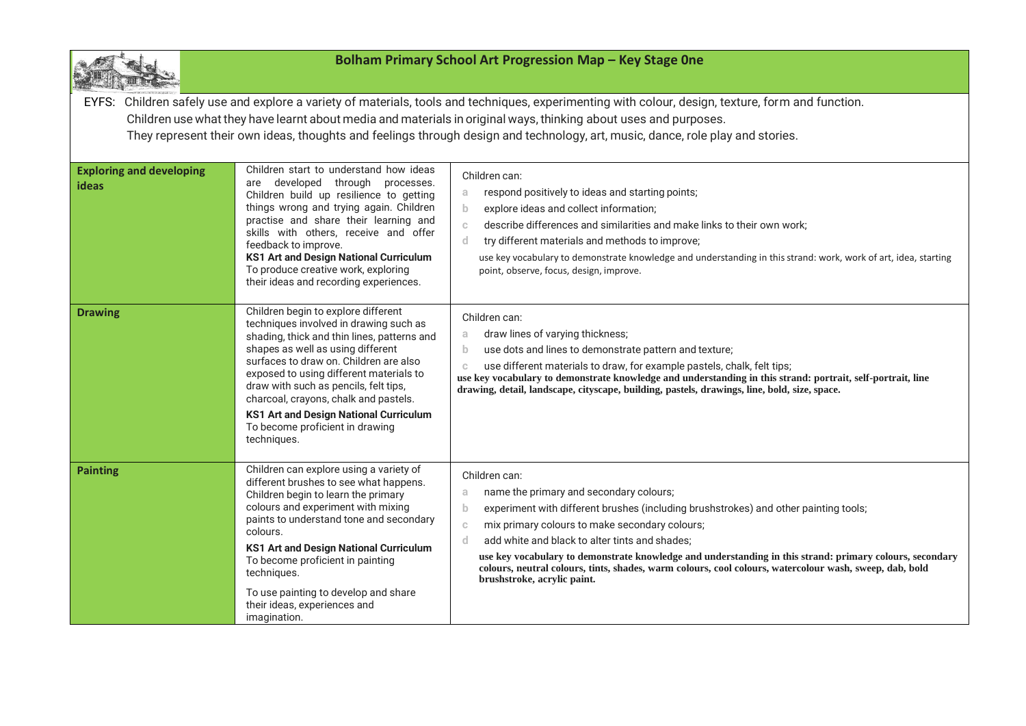| Bolham Primary School Art Progression Map - Key Stage One                                                                                                                                                                                                                                                                                                                                                |                                                                                                                                                                                                                                                                                                                                                                                                                                             |                                                                                                                                                                                                                                                                                                                                                                                                                                                                                                                                                      |  |  |
|----------------------------------------------------------------------------------------------------------------------------------------------------------------------------------------------------------------------------------------------------------------------------------------------------------------------------------------------------------------------------------------------------------|---------------------------------------------------------------------------------------------------------------------------------------------------------------------------------------------------------------------------------------------------------------------------------------------------------------------------------------------------------------------------------------------------------------------------------------------|------------------------------------------------------------------------------------------------------------------------------------------------------------------------------------------------------------------------------------------------------------------------------------------------------------------------------------------------------------------------------------------------------------------------------------------------------------------------------------------------------------------------------------------------------|--|--|
| EYFS: Children safely use and explore a variety of materials, tools and techniques, experimenting with colour, design, texture, form and function.<br>Children use what they have learnt about media and materials in original ways, thinking about uses and purposes.<br>They represent their own ideas, thoughts and feelings through design and technology, art, music, dance, role play and stories. |                                                                                                                                                                                                                                                                                                                                                                                                                                             |                                                                                                                                                                                                                                                                                                                                                                                                                                                                                                                                                      |  |  |
| <b>Exploring and developing</b><br>ideas                                                                                                                                                                                                                                                                                                                                                                 | Children start to understand how ideas<br>are developed through processes.<br>Children build up resilience to getting<br>things wrong and trying again. Children<br>practise and share their learning and<br>skills with others, receive and offer<br>feedback to improve.<br><b>KS1 Art and Design National Curriculum</b><br>To produce creative work, exploring<br>their ideas and recording experiences.                                | Children can:<br>respond positively to ideas and starting points;<br>a.<br>explore ideas and collect information;<br>b.<br>describe differences and similarities and make links to their own work;<br>$\mathbb{C}$<br>$\mathsf{d}$<br>try different materials and methods to improve;<br>use key vocabulary to demonstrate knowledge and understanding in this strand: work, work of art, idea, starting<br>point, observe, focus, design, improve.                                                                                                  |  |  |
| <b>Drawing</b>                                                                                                                                                                                                                                                                                                                                                                                           | Children begin to explore different<br>techniques involved in drawing such as<br>shading, thick and thin lines, patterns and<br>shapes as well as using different<br>surfaces to draw on. Children are also<br>exposed to using different materials to<br>draw with such as pencils, felt tips,<br>charcoal, crayons, chalk and pastels.<br><b>KS1 Art and Design National Curriculum</b><br>To become proficient in drawing<br>techniques. | Children can:<br>draw lines of varying thickness;<br>a<br>use dots and lines to demonstrate pattern and texture;<br>$\mathbf{b}$<br>use different materials to draw, for example pastels, chalk, felt tips;<br>C<br>use key vocabulary to demonstrate knowledge and understanding in this strand: portrait, self-portrait, line<br>drawing, detail, landscape, cityscape, building, pastels, drawings, line, bold, size, space.                                                                                                                      |  |  |
| <b>Painting</b>                                                                                                                                                                                                                                                                                                                                                                                          | Children can explore using a variety of<br>different brushes to see what happens.<br>Children begin to learn the primary<br>colours and experiment with mixing<br>paints to understand tone and secondary<br>colours.<br><b>KS1 Art and Design National Curriculum</b><br>To become proficient in painting<br>techniques.<br>To use painting to develop and share<br>their ideas, experiences and<br>imagination.                           | Children can:<br>name the primary and secondary colours;<br>a<br>experiment with different brushes (including brushstrokes) and other painting tools;<br>$\mathbf b$<br>mix primary colours to make secondary colours;<br>$\mathbb{C}$<br>add white and black to alter tints and shades;<br>d.<br>use key vocabulary to demonstrate knowledge and understanding in this strand: primary colours, secondary<br>colours, neutral colours, tints, shades, warm colours, cool colours, watercolour wash, sweep, dab, bold<br>brushstroke, acrylic paint. |  |  |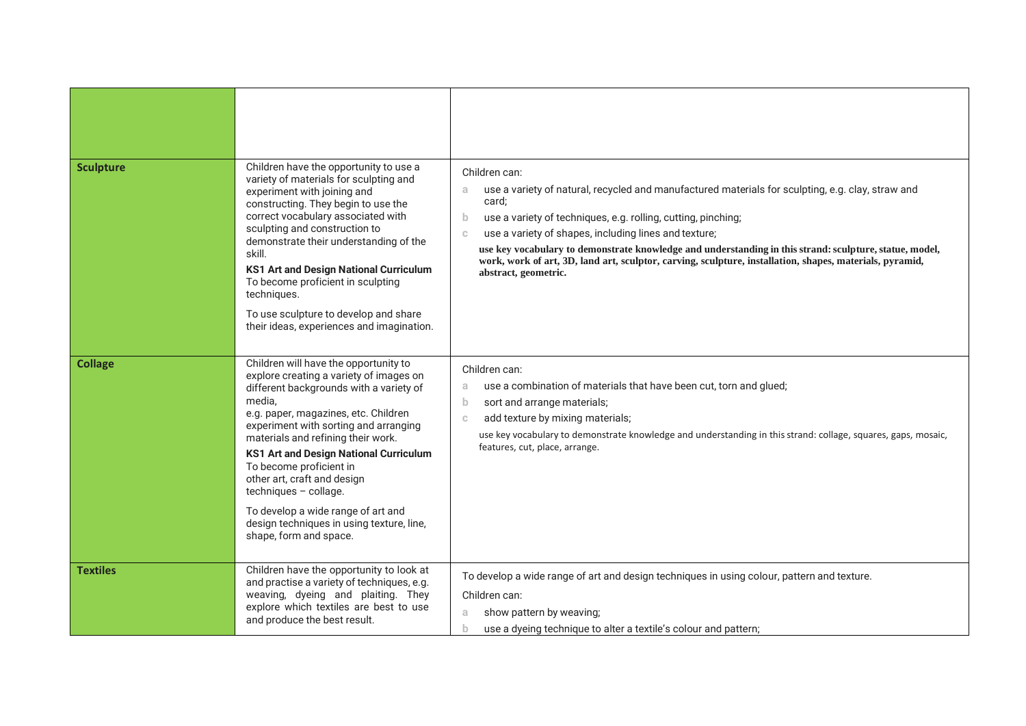| <b>Sculpture</b> | Children have the opportunity to use a<br>variety of materials for sculpting and<br>experiment with joining and<br>constructing. They begin to use the<br>correct vocabulary associated with<br>sculpting and construction to<br>demonstrate their understanding of the<br>skill.<br>KS1 Art and Design National Curriculum<br>To become proficient in sculpting<br>techniques.<br>To use sculpture to develop and share<br>their ideas, experiences and imagination.                                         | Children can:<br>use a variety of natural, recycled and manufactured materials for sculpting, e.g. clay, straw and<br>a<br>card;<br>use a variety of techniques, e.g. rolling, cutting, pinching;<br>b<br>use a variety of shapes, including lines and texture;<br>$\mathbb{C}$<br>use key vocabulary to demonstrate knowledge and understanding in this strand: sculpture, statue, model,<br>work, work of art, 3D, land art, sculptor, carving, sculpture, installation, shapes, materials, pyramid,<br>abstract, geometric. |
|------------------|---------------------------------------------------------------------------------------------------------------------------------------------------------------------------------------------------------------------------------------------------------------------------------------------------------------------------------------------------------------------------------------------------------------------------------------------------------------------------------------------------------------|--------------------------------------------------------------------------------------------------------------------------------------------------------------------------------------------------------------------------------------------------------------------------------------------------------------------------------------------------------------------------------------------------------------------------------------------------------------------------------------------------------------------------------|
| <b>Collage</b>   | Children will have the opportunity to<br>explore creating a variety of images on<br>different backgrounds with a variety of<br>media,<br>e.g. paper, magazines, etc. Children<br>experiment with sorting and arranging<br>materials and refining their work.<br><b>KS1 Art and Design National Curriculum</b><br>To become proficient in<br>other art, craft and design<br>techniques - collage.<br>To develop a wide range of art and<br>design techniques in using texture, line,<br>shape, form and space. | Children can:<br>use a combination of materials that have been cut, torn and glued;<br>a<br>sort and arrange materials;<br>$\mathbf b$<br>add texture by mixing materials;<br>C<br>use key vocabulary to demonstrate knowledge and understanding in this strand: collage, squares, gaps, mosaic,<br>features, cut, place, arrange.                                                                                                                                                                                             |
| <b>Textiles</b>  | Children have the opportunity to look at<br>and practise a variety of techniques, e.g.<br>weaving, dyeing and plaiting. They<br>explore which textiles are best to use<br>and produce the best result.                                                                                                                                                                                                                                                                                                        | To develop a wide range of art and design techniques in using colour, pattern and texture.<br>Children can:<br>show pattern by weaving;<br>a<br>use a dyeing technique to alter a textile's colour and pattern;                                                                                                                                                                                                                                                                                                                |